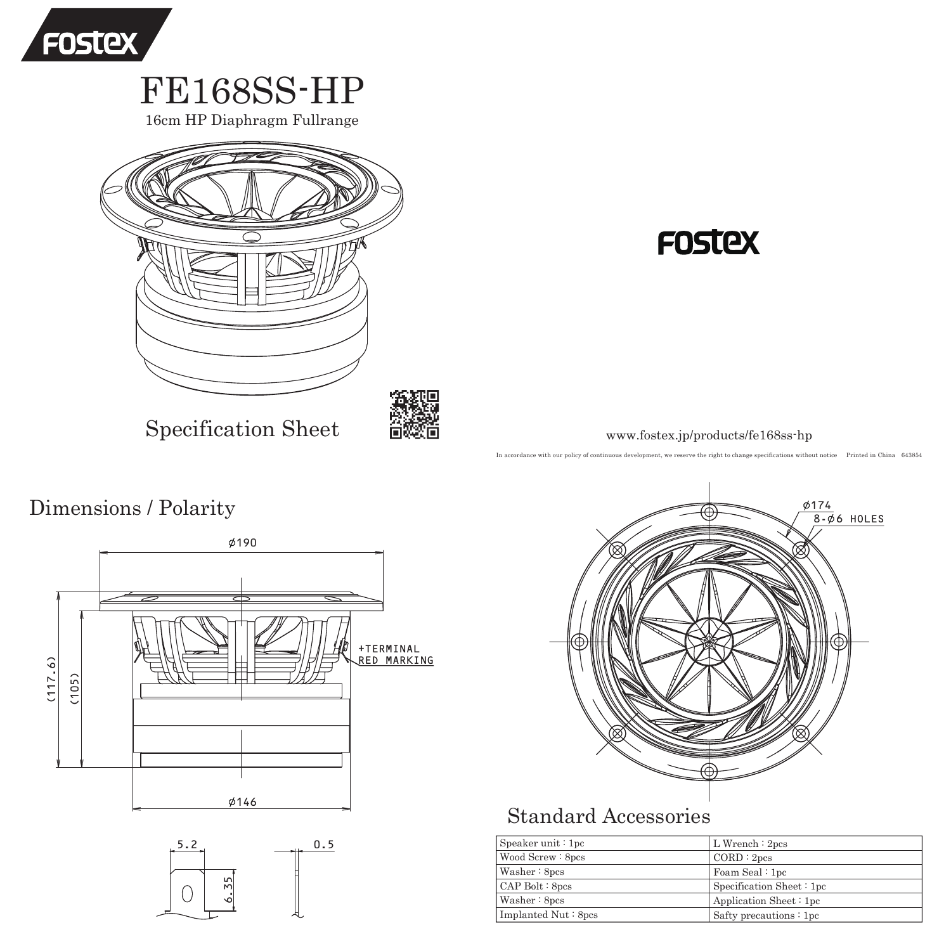

16cm HP Diaphragm Fullrange



# **FOSTEX**

www.fostex.jp/products/fe168ss-hp

In accordance with our policy of continuous development, we reserve the right to change specifications without notice Printed in China 643854

Dimensions / Polarity







## Standard Accessories

| Speaker unit $:1pc$ | $L$ Wrench : 2pcs           |
|---------------------|-----------------------------|
| Wood Screw: 8pcs    | CORD:2pcs                   |
| Washer : 8pcs       | Foam Seal: 1pc              |
| $CAP$ Bolt $:$ 8pcs | Specification Sheet $: 1pc$ |
| Washer : 8pcs       | Application Sheet: 1pc      |
| Implanted Nut: 8pcs | Safty precautions $: 1pc$   |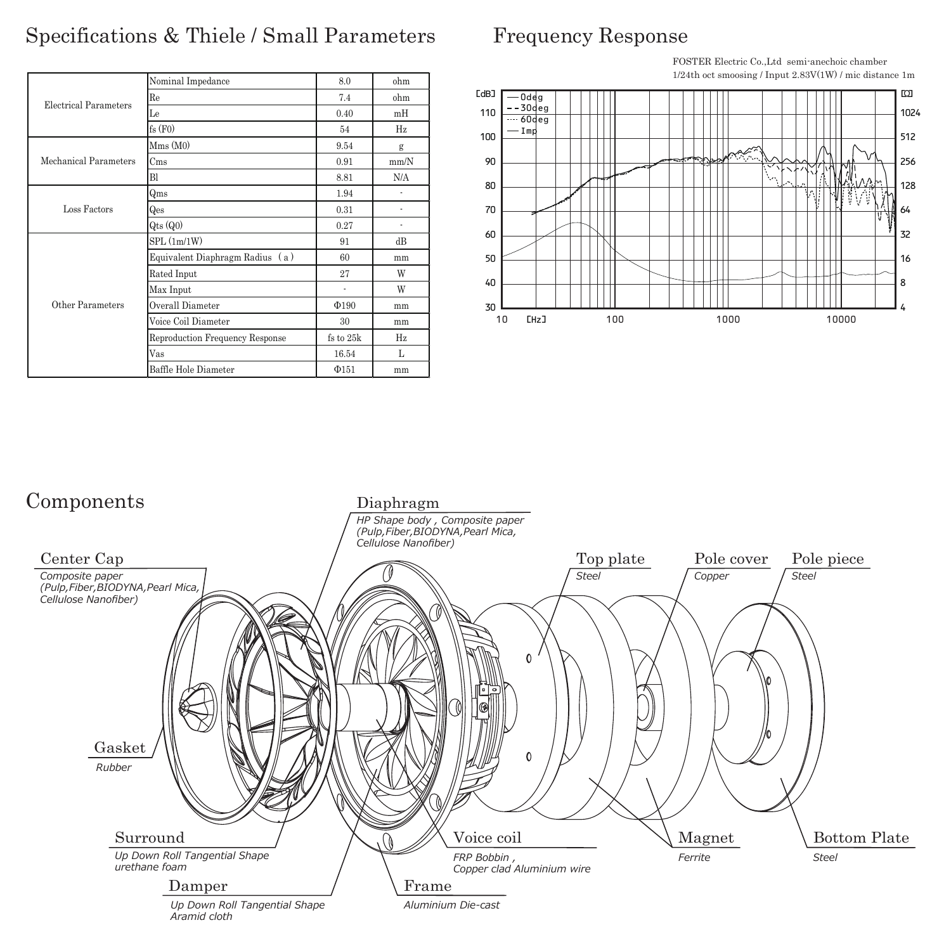#### Specifications & Thiele / Small Parameters

#### Frequency Response

| Electrical Parameters | Nominal Impedance               | 8.0        | ohm  |
|-----------------------|---------------------------------|------------|------|
|                       | Re                              | 7.4        | ohm  |
|                       | Le                              | 0.40       | mH   |
|                       | fs(F0)                          | 54         | Hz   |
| Mechanical Parameters | Mms(M0)                         | 9.54       | g    |
|                       | C <sub>ms</sub>                 | 0.91       | mm/N |
|                       | Bl                              | 8.81       | N/A  |
| Loss Factors          | Qms                             | 1.94       | ä,   |
|                       | Qes                             | 0.31       | ä,   |
|                       | $Q$ ts $(Q0)$                   | 0.27       | ä,   |
| Other Parameters      | SPL(1m/1W)                      | 91         | dВ   |
|                       | Equivalent Diaphragm Radius (a) | 60         | mm   |
|                       | Rated Input                     | 27         | W    |
|                       | Max Input                       | ٠          | W    |
|                       | Overall Diameter                | $\Phi$ 190 | mm   |
|                       | Voice Coil Diameter             | 30         | mm   |
|                       | Reproduction Frequency Response | fs to 25k  | Hz   |
|                       | Vas                             | 16.54      | L    |
|                       | Baffle Hole Diameter            | $\Phi$ 151 | mm   |



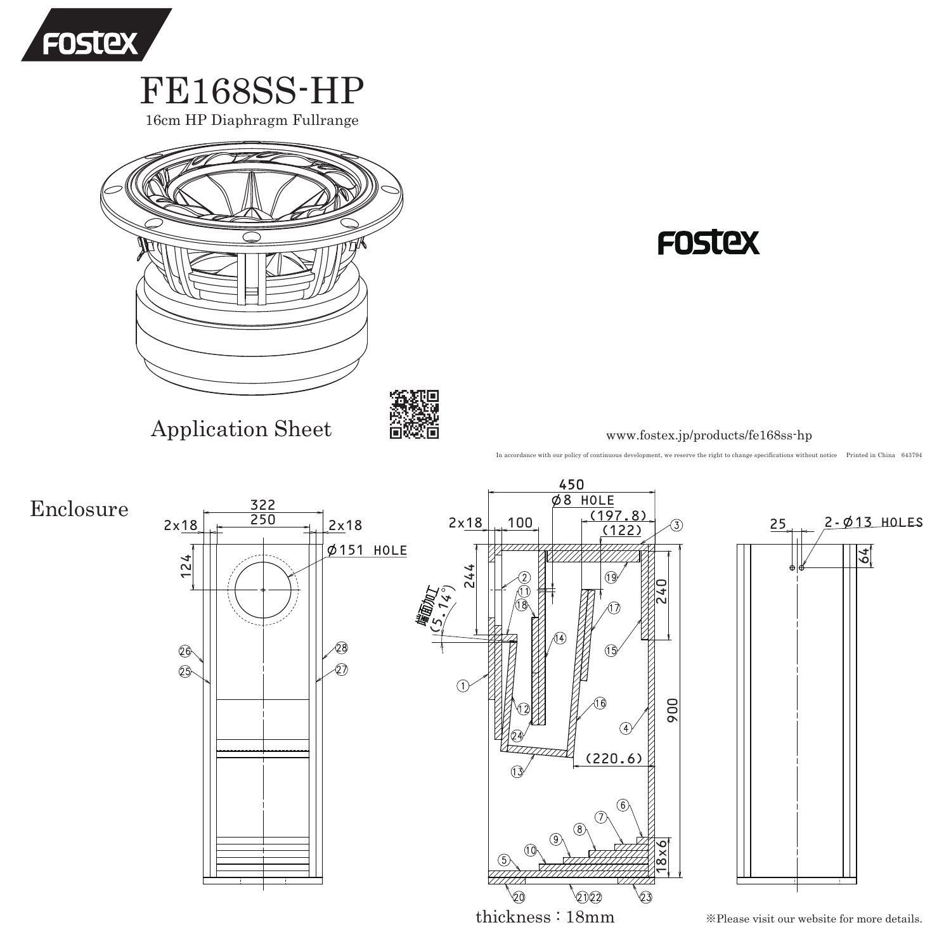